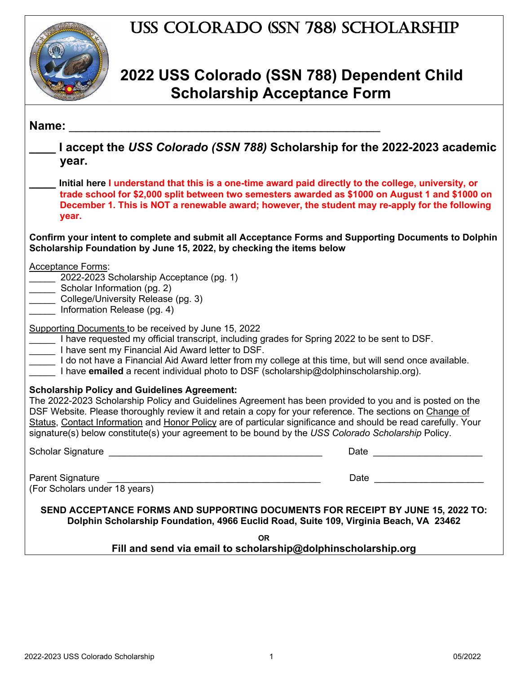### USS Colorado (SSN 788) Scholarship



#### **2022 USS Colorado (SSN 788) Dependent Child Scholarship Acceptance Form**

| Name:                                                                                                                                                                                                                                                                                                                                                                                                                                                                                               |                                                                                                                                                                                                                                |
|-----------------------------------------------------------------------------------------------------------------------------------------------------------------------------------------------------------------------------------------------------------------------------------------------------------------------------------------------------------------------------------------------------------------------------------------------------------------------------------------------------|--------------------------------------------------------------------------------------------------------------------------------------------------------------------------------------------------------------------------------|
| I accept the USS Colorado (SSN 788) Scholarship for the 2022-2023 academic<br>year.                                                                                                                                                                                                                                                                                                                                                                                                                 |                                                                                                                                                                                                                                |
| Initial here I understand that this is a one-time award paid directly to the college, university, or<br>trade school for \$2,000 split between two semesters awarded as \$1000 on August 1 and \$1000 on<br>December 1. This is NOT a renewable award; however, the student may re-apply for the following<br>year.                                                                                                                                                                                 |                                                                                                                                                                                                                                |
| Confirm your intent to complete and submit all Acceptance Forms and Supporting Documents to Dolphin<br>Scholarship Foundation by June 15, 2022, by checking the items below                                                                                                                                                                                                                                                                                                                         |                                                                                                                                                                                                                                |
| <b>Acceptance Forms:</b><br>2022-2023 Scholarship Acceptance (pg. 1)<br>Scholar Information (pg. 2)<br>College/University Release (pg. 3)<br>Information Release (pg. 4)                                                                                                                                                                                                                                                                                                                            |                                                                                                                                                                                                                                |
| Supporting Documents to be received by June 15, 2022<br>I have requested my official transcript, including grades for Spring 2022 to be sent to DSF.<br>I have sent my Financial Aid Award letter to DSF.<br>I do not have a Financial Aid Award letter from my college at this time, but will send once available.<br>I have emailed a recent individual photo to DSF (scholarship@dolphinscholarship.org).                                                                                        |                                                                                                                                                                                                                                |
| <b>Scholarship Policy and Guidelines Agreement:</b><br>The 2022-2023 Scholarship Policy and Guidelines Agreement has been provided to you and is posted on the<br>DSF Website. Please thoroughly review it and retain a copy for your reference. The sections on Change of<br>Status, Contact Information and Honor Policy are of particular significance and should be read carefully. Your<br>signature(s) below constitute(s) your agreement to be bound by the USS Colorado Scholarship Policy. |                                                                                                                                                                                                                                |
|                                                                                                                                                                                                                                                                                                                                                                                                                                                                                                     | Date and the contract of the contract of the contract of the contract of the contract of the contract of the contract of the contract of the contract of the contract of the contract of the contract of the contract of the c |
| Parent Signature<br>(For Scholars under 18 years)                                                                                                                                                                                                                                                                                                                                                                                                                                                   | Date and the contract of the contract of the contract of the contract of the contract of the contract of the contract of the contract of the contract of the contract of the contract of the contract of the contract of the c |
| SEND ACCEPTANCE FORMS AND SUPPORTING DOCUMENTS FOR RECEIPT BY JUNE 15, 2022 TO:<br>Dolphin Scholarship Foundation, 4966 Euclid Road, Suite 109, Virginia Beach, VA 23462                                                                                                                                                                                                                                                                                                                            |                                                                                                                                                                                                                                |
| <b>OR</b><br>Fill and send via email to scholarship@dolphinscholarship.org                                                                                                                                                                                                                                                                                                                                                                                                                          |                                                                                                                                                                                                                                |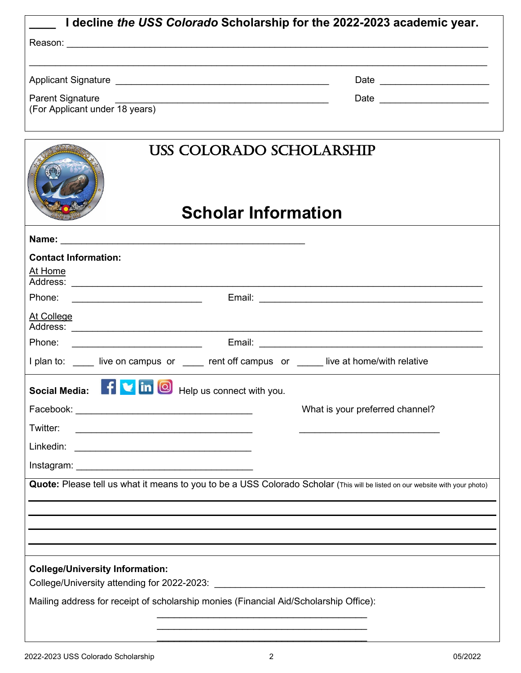| I decline the USS Colorado Scholarship for the 2022-2023 academic year.                                                                     |  |  |  |
|---------------------------------------------------------------------------------------------------------------------------------------------|--|--|--|
|                                                                                                                                             |  |  |  |
|                                                                                                                                             |  |  |  |
|                                                                                                                                             |  |  |  |
| Parent Signature<br><u> 1989 - Johann Stoff, deutscher Stoffen und der Stoffen und der Stoffen und der Stoffen und der Stoffen und der </u> |  |  |  |
| (For Applicant under 18 years)                                                                                                              |  |  |  |
|                                                                                                                                             |  |  |  |
| USS COLORADO SCHOLARSHIP<br><b>Scholar Information</b>                                                                                      |  |  |  |
|                                                                                                                                             |  |  |  |
| <b>Contact Information:</b>                                                                                                                 |  |  |  |
| At Home                                                                                                                                     |  |  |  |
| Phone:                                                                                                                                      |  |  |  |
| At College                                                                                                                                  |  |  |  |
| Phone:                                                                                                                                      |  |  |  |
| I plan to: live on campus or rent off campus or live at home/with relative                                                                  |  |  |  |
| $\mathbf{V}$ in $\begin{bmatrix} \mathbf{0} \end{bmatrix}$<br><b>Social Media:</b><br>Help us connect with you.                             |  |  |  |
| What is your preferred channel?                                                                                                             |  |  |  |
| Twitter:<br><u> 1980 - Johann Barn, mars ann an t-Amhain Aonaich an t-Aonaich an t-Aonaich ann an t-Aonaich ann an t-Aonaich</u>            |  |  |  |
|                                                                                                                                             |  |  |  |
|                                                                                                                                             |  |  |  |
| Quote: Please tell us what it means to you to be a USS Colorado Scholar (This will be listed on our website with your photo)                |  |  |  |
|                                                                                                                                             |  |  |  |
|                                                                                                                                             |  |  |  |
|                                                                                                                                             |  |  |  |
| <b>College/University Information:</b>                                                                                                      |  |  |  |
| Mailing address for receipt of scholarship monies (Financial Aid/Scholarship Office):                                                       |  |  |  |
|                                                                                                                                             |  |  |  |
|                                                                                                                                             |  |  |  |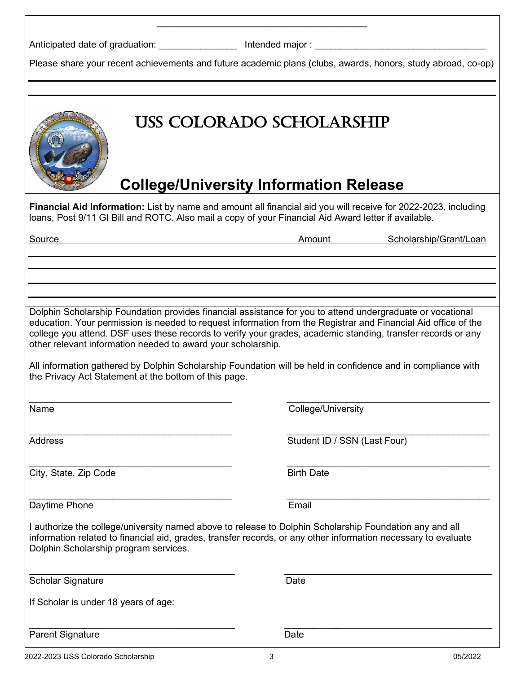|  |  |  |  |  |  | Anticipated date of graduation: |
|--|--|--|--|--|--|---------------------------------|
|--|--|--|--|--|--|---------------------------------|

Intended major :  $\overline{\phantom{a}}$ 

Please share your recent achievements and future academic plans (clubs, awards, honors, study abroad, co-op)

\_\_\_\_\_\_\_\_\_\_\_\_\_\_\_\_\_\_\_\_\_\_\_\_\_\_\_\_\_\_\_\_\_\_\_\_\_

# USS Colorado Scholarship **College/University Information Release Financial Aid Information:** List by name and amount all financial aid you will receive for 2022-2023, including loans, Post 9/11 GI Bill and ROTC. Also mail a copy of your Financial Aid Award letter if available. Source **Amount Scholarship/Grant/Loan** Dolphin Scholarship Foundation provides financial assistance for you to attend undergraduate or vocational education. Your permission is needed to request information from the Registrar and Financial Aid office of the college you attend. DSF uses these records to verify your grades, academic standing, transfer records or any other relevant information needed to award your scholarship. All information gathered by Dolphin Scholarship Foundation will be held in confidence and in compliance with the Privacy Act Statement at the bottom of this page.

\_\_\_\_\_\_\_\_\_\_\_\_\_\_\_\_\_\_\_\_\_\_\_\_\_\_\_\_\_\_\_\_\_\_\_\_\_\_\_ \_\_\_\_\_\_\_\_\_\_\_\_\_\_\_\_\_\_\_\_\_\_\_\_\_\_\_\_\_\_\_\_\_\_\_\_\_\_\_ Name College/University

\_\_\_\_\_\_\_\_\_\_\_\_\_\_\_\_\_\_\_\_\_\_\_\_\_\_\_\_\_\_\_\_\_\_\_\_\_\_\_ \_\_\_\_\_\_\_\_\_\_\_\_\_\_\_\_\_\_\_\_\_\_\_\_\_\_\_\_\_\_\_\_\_\_\_\_\_\_\_ Address **Student ID / SSN (Last Four)** 

\_\_\_\_\_\_\_\_\_\_\_\_\_\_\_\_\_\_\_\_\_\_\_\_\_\_\_\_\_\_\_\_\_\_\_\_\_\_\_ \_\_\_\_\_\_\_\_\_\_\_\_\_\_\_\_\_\_\_\_\_\_\_\_\_\_\_\_\_\_\_\_\_\_\_\_\_\_\_ **City, State, Zip Code** Birth Date

\_\_\_\_\_\_\_\_\_\_\_\_\_\_\_\_\_\_\_\_\_\_\_\_\_\_\_\_\_\_\_\_\_\_\_\_\_\_\_ \_\_\_\_\_\_\_\_\_\_\_\_\_\_\_\_\_\_\_\_\_\_\_\_\_\_\_\_\_\_\_\_\_\_\_\_\_\_\_ Daytime Phone **Email** 

I authorize the college/university named above to release to Dolphin Scholarship Foundation any and all information related to financial aid, grades, transfer records, or any other information necessary to evaluate Dolphin Scholarship program services.

 $\overline{\phantom{a}}$  , and the contract of the contract of the contract of the contract of the contract of the contract of the contract of the contract of the contract of the contract of the contract of the contract of the contrac

Scholar Signature Date

If Scholar is under 18 years of age:

 $\overline{\phantom{a}}$  , and the contract of the contract of the contract of the contract of the contract of the contract of the contract of the contract of the contract of the contract of the contract of the contract of the contrac Parent Signature Date Date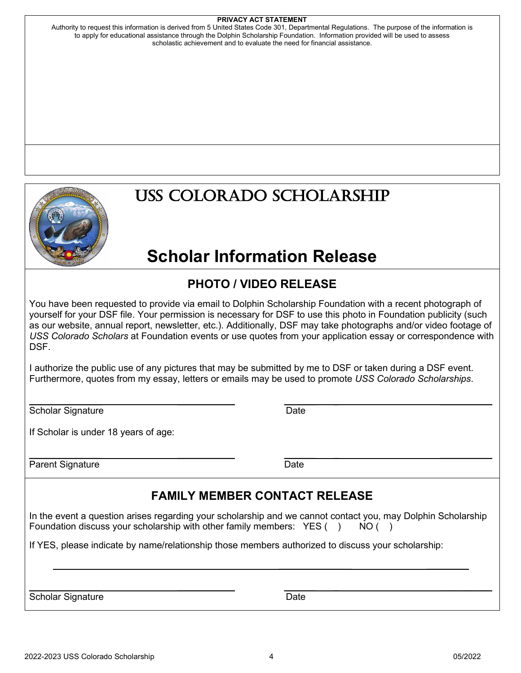#### **PRIVACY ACT STATEMENT**

Authority to request this information is derived from 5 United States Code 301, Departmental Regulations. The purpose of the information is to apply for educational assistance through the Dolphin Scholarship Foundation. Information provided will be used to assess scholastic achievement and to evaluate the need for financial assistance.



## USS Colorado Scholarship

## **Scholar Information Release**

#### **PHOTO / VIDEO RELEASE**

You have been requested to provide via email to Dolphin Scholarship Foundation with a recent photograph of yourself for your DSF file. Your permission is necessary for DSF to use this photo in Foundation publicity (such as our website, annual report, newsletter, etc.). Additionally, DSF may take photographs and/or video footage of *USS Colorado Scholars* at Foundation events or use quotes from your application essay or correspondence with DSF.

I authorize the public use of any pictures that may be submitted by me to DSF or taken during a DSF event. Furthermore, quotes from my essay, letters or emails may be used to promote *USS Colorado Scholarships*.

 $\overline{\phantom{a}}$  , and the contract of the contract of the contract of the contract of the contract of the contract of the contract of the contract of the contract of the contract of the contract of the contract of the contrac

Scholar Signature Date Date Date

If Scholar is under 18 years of age:

Parent Signature Date Date

\_\_\_\_\_\_\_\_\_\_\_\_\_\_ \_\_\_\_\_\_\_\_\_\_\_ \_\_\_\_\_\_ \_ \_\_\_\_\_\_\_\_\_\_

#### **FAMILY MEMBER CONTACT RELEASE**

In the event a question arises regarding your scholarship and we cannot contact you, may Dolphin Scholarship Foundation discuss your scholarship with other family members:  $YES( ) NO( )$ 

 $\overline{\phantom{a}}$  , which is a set of the contract of the contract of the contract of the contract of the contract of the contract of the contract of the contract of the contract of the contract of the contract of the contract

 $\overline{\phantom{a}}$  , and the contract of the contract of the contract of the contract of the contract of the contract of the contract of the contract of the contract of the contract of the contract of the contract of the contrac

If YES, please indicate by name/relationship those members authorized to discuss your scholarship:

Scholar Signature **Date**